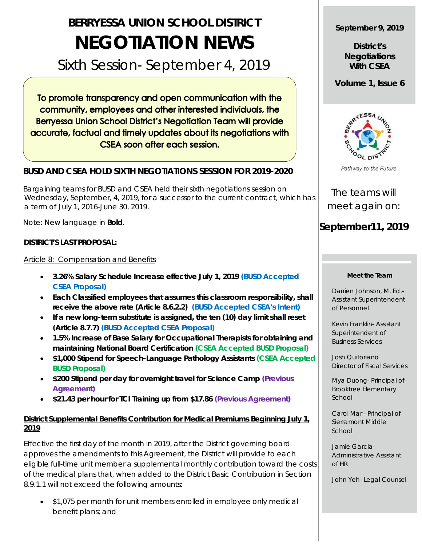# **BERRYESSA UNION SCHOOL DISTRICT NEGOTIATION NEWS**

# Sixth Session- September 4, 2019

To promote transparency and open communication with the community, employees and other interested individuals, the **Berryessa Union School District's Negotiation Team will provide** accurate, factual and timely updates about its negotiations with **CSEA soon after each session.** 

## **BUSD AND CSEA HOLD SIXTH NEGOTIATIONS SESSION FOR 2019-2020**

 Bargaining teams for BUSD and CSEA held their sixth negotiations session on Wednesday, September, 4, 2019, for a successor to the current contract, which has a term of July 1, 2016-June 30, 2019.

Note: New language in **Bold**.

### **DISTRICT'S LAST PROPOSAL:**

Article 8: Compensation and Benefits

- **3.26% Salary Schedule Increase effective July 1, 2019 (BUSD Accepted CSEA Proposal)**
- **Each Classified employees that assumes this classroom responsibility, shall receive the above rate (Article 8.6.2.2) (BUSD Accepted CSEA's Intent)**
- **If a new long-term substitute is assigned, the ten (10) day limit shall reset (Article 8.7.7) (BUSD Accepted CSEA Proposal)**
- **1.5% Increase of Base Salary for Occupational Therapists for obtaining and maintaining National Board Certification (CSEA Accepted BUSD Proposal)**
- **\$1,000 Stipend for Speech-Language Pathology Assistants (CSEA Accepted BUSD Proposal)**
- **\$200 Stipend per day for overnight travel for Science Camp (Previous Agreement)**
- **\$21.43 per hour for TCI Training up from \$17.86 (Previous Agreement)**

## **District Supplemental Benefits Contribution for Medical Premiums Beginning July 1, 2019**

Effective the first day of the month in 2019, after the District governing board approves the amendments to this Agreement, the District will provide to each eligible full-time unit member a supplemental monthly contribution toward the costs of the medical plans that, when added to the District Basic Contribution in Section 8.9.1.1 will not exceed the following amounts:

• \$1,075 per month for unit members enrolled in employee only medical benefit plans; and

### **September 9, 2019**

**District's Negotiations With CSEA**

**Volume 1, Issue 6**



Pathway to the Future

The teams will meet again on:

# **September11, 2019**

#### **Meet the Team**

Darrien Johnson, M. Ed.- Assistant Superintendent of Personnel

Kevin Franklin- Assistant Superintendent of Business Services

Josh Quitoriano Director of Fiscal Services

Mya Duong- Principal of Brooktree Elementary School

Carol Mar - Principal of Sierramont Middle School

Jamie Garcia-Administrative Assistant of HR

John Yeh- Legal Counsel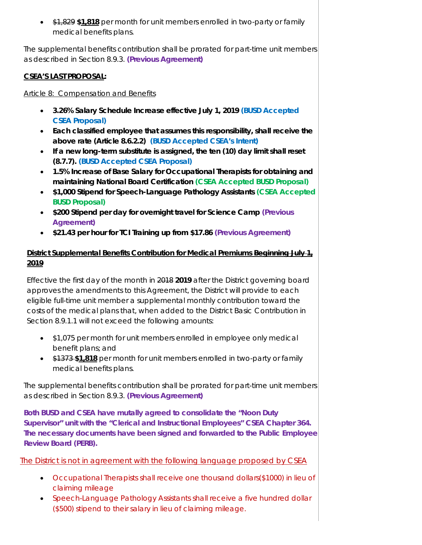• \$1,829 **\$1,818** per month for unit members enrolled in two-party or family medical benefits plans.

The supplemental benefits contribution shall be prorated for part-time unit members as described in Section 8.9.3. **(Previous Agreement)**

# **CSEA'S LAST PROPOSAL:**

## Article 8: Compensation and Benefits

- **3.26% Salary Schedule Increase effective July 1, 2019 (BUSD Accepted CSEA Proposal)**
- **Each classified employee that assumes this responsibility, shall receive the above rate (Article 8.6.2.2) (BUSD Accepted CSEA's Intent)**
- **If a new long-term substitute is assigned, the ten (10) day limit shall reset (8.7.7). (BUSD Accepted CSEA Proposal)**
- **1.5% Increase of Base Salary for Occupational Therapists for obtaining and maintaining National Board Certification (CSEA Accepted BUSD Proposal)**
- **\$1,000 Stipend for Speech-Language Pathology Assistants (CSEA Accepted BUSD Proposal)**
- **\$200 Stipend per day for overnight travel for Science Camp (Previous Agreement)**
- **\$21.43 per hour for TCI Training up from \$17.86 (Previous Agreement)**

# **District Supplemental Benefits Contribution for Medical Premiums Beginning July 1, 2019**

Effective the first day of the month in 2018 **2019** after the District governing board approves the amendments to this Agreement, the District will provide to each eligible full-time unit member a supplemental monthly contribution toward the costs of the medical plans that, when added to the District Basic Contribution in Section 8.9.1.1 will not exceed the following amounts:

- \$1,075 per month for unit members enrolled in employee only medical benefit plans; and
- \$1373 **\$1,818** per month for unit members enrolled in two-party or family medical benefits plans.

The supplemental benefits contribution shall be prorated for part-time unit members as described in Section 8.9.3. **(Previous Agreement)**

**Both BUSD and CSEA have mutally agreed to consolidate the "Noon Duty Supervisor" unit with the "Clerical and Instructional Employees" CSEA Chapter 364. The necessary documents have been signed and forwarded to the Public Employee Review Board (PERB).**

# The District is not in agreement with the following language proposed by CSEA

- Occupational Therapists shall receive one thousand dollars(\$1000) in lieu of claiming mileage
- Speech-Language Pathology Assistants shall receive a five hundred dollar (\$500) stipend to their salary in lieu of claiming mileage.